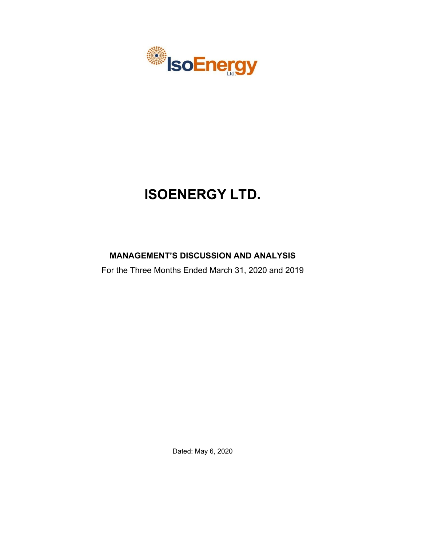

# **ISOENERGY LTD.**

# **MANAGEMENT'S DISCUSSION AND ANALYSIS**

For the Three Months Ended March 31, 2020 and 2019

Dated: May 6, 2020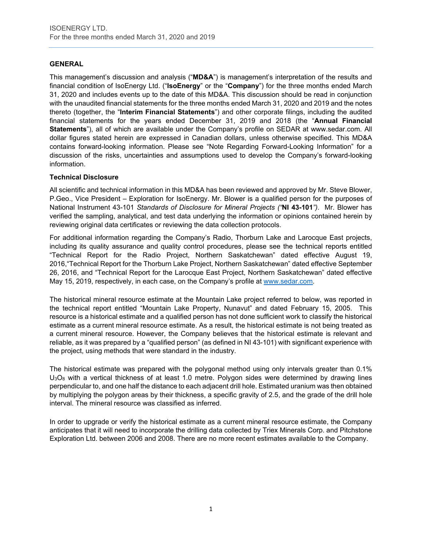# **GENERAL**

This management's discussion and analysis ("**MD&A**") is management's interpretation of the results and financial condition of IsoEnergy Ltd. ("**IsoEnergy**" or the "**Company**") for the three months ended March 31, 2020 and includes events up to the date of this MD&A. This discussion should be read in conjunction with the unaudited financial statements for the three months ended March 31, 2020 and 2019 and the notes thereto (together, the "**Interim Financial Statements**") and other corporate filings, including the audited financial statements for the years ended December 31, 2019 and 2018 (the "**Annual Financial Statements**"), all of which are available under the Company's profile on SEDAR at www.sedar.com. All dollar figures stated herein are expressed in Canadian dollars, unless otherwise specified. This MD&A contains forward-looking information. Please see "Note Regarding Forward-Looking Information" for a discussion of the risks, uncertainties and assumptions used to develop the Company's forward-looking information.

# **Technical Disclosure**

All scientific and technical information in this MD&A has been reviewed and approved by Mr. Steve Blower, P.Geo., Vice President – Exploration for IsoEnergy. Mr. Blower is a qualified person for the purposes of National Instrument 43-101 *Standards of Disclosure for Mineral Projects ("***NI 43-101***")*. Mr. Blower has verified the sampling, analytical, and test data underlying the information or opinions contained herein by reviewing original data certificates or reviewing the data collection protocols.

For additional information regarding the Company's Radio, Thorburn Lake and Larocque East projects, including its quality assurance and quality control procedures, please see the technical reports entitled "Technical Report for the Radio Project, Northern Saskatchewan" dated effective August 19, 2016,"Technical Report for the Thorburn Lake Project, Northern Saskatchewan" dated effective September 26, 2016, and "Technical Report for the Larocque East Project, Northern Saskatchewan" dated effective May 15, 2019, respectively, in each case, on the Company's profile at [www.sedar.com.](http://www.sedar.com/)

The historical mineral resource estimate at the Mountain Lake project referred to below, was reported in the technical report entitled "Mountain Lake Property, Nunavut" and dated February 15, 2005. This resource is a historical estimate and a qualified person has not done sufficient work to classify the historical estimate as a current mineral resource estimate. As a result, the historical estimate is not being treated as a current mineral resource. However, the Company believes that the historical estimate is relevant and reliable, as it was prepared by a "qualified person" (as defined in NI 43-101) with significant experience with the project, using methods that were standard in the industry.

The historical estimate was prepared with the polygonal method using only intervals greater than 0.1%  $U_3O_8$  with a vertical thickness of at least 1.0 metre. Polygon sides were determined by drawing lines perpendicular to, and one half the distance to each adjacent drill hole. Estimated uranium was then obtained by multiplying the polygon areas by their thickness, a specific gravity of 2.5, and the grade of the drill hole interval. The mineral resource was classified as inferred.

In order to upgrade or verify the historical estimate as a current mineral resource estimate, the Company anticipates that it will need to incorporate the drilling data collected by Triex Minerals Corp. and Pitchstone Exploration Ltd. between 2006 and 2008. There are no more recent estimates available to the Company.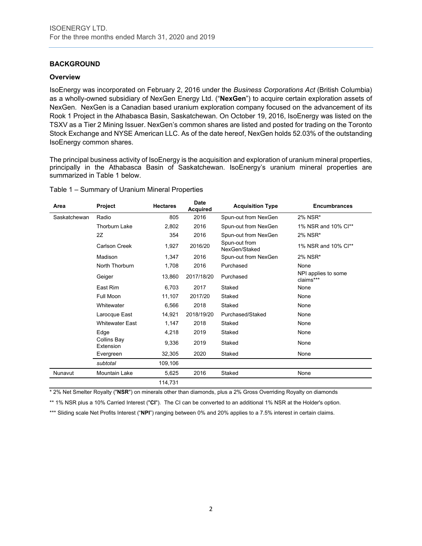# **BACKGROUND**

#### **Overview**

IsoEnergy was incorporated on February 2, 2016 under the *Business Corporations Act* (British Columbia) as a wholly-owned subsidiary of NexGen Energy Ltd. ("**NexGen**") to acquire certain exploration assets of NexGen. NexGen is a Canadian based uranium exploration company focused on the advancement of its Rook 1 Project in the Athabasca Basin, Saskatchewan. On October 19, 2016, IsoEnergy was listed on the TSXV as a Tier 2 Mining Issuer. NexGen's common shares are listed and posted for trading on the Toronto Stock Exchange and NYSE American LLC. As of the date hereof, NexGen holds 52.03% of the outstanding IsoEnergy common shares.

The principal business activity of IsoEnergy is the acquisition and exploration of uranium mineral properties, principally in the Athabasca Basin of Saskatchewan. IsoEnergy's uranium mineral properties are summarized in Table 1 below.

|  | Table 1 - Summary of Uranium Mineral Properties |  |  |  |
|--|-------------------------------------------------|--|--|--|
|--|-------------------------------------------------|--|--|--|

| Area         | <b>Project</b>           | <b>Hectares</b> | <b>Date</b><br><b>Acquired</b> | <b>Acquisition Type</b>        | <b>Encumbrances</b>              |
|--------------|--------------------------|-----------------|--------------------------------|--------------------------------|----------------------------------|
| Saskatchewan | Radio                    | 805             | 2016                           | Spun-out from NexGen           | 2% NSR*                          |
|              | <b>Thorburn Lake</b>     | 2.802           | 2016                           | Spun-out from NexGen           | 1% NSR and 10% Cl**              |
|              | 2Z                       | 354             | 2016                           | Spun-out from NexGen           | 2% NSR*                          |
|              | Carlson Creek            | 1,927           | 2016/20                        | Spun-out from<br>NexGen/Staked | 1% NSR and 10% Cl**              |
|              | Madison                  | 1,347           | 2016                           | Spun-out from NexGen           | 2% NSR*                          |
|              | North Thorburn           | 1,708           | 2016                           | Purchased                      | None                             |
|              | Geiger                   | 13,860          | 2017/18/20                     | Purchased                      | NPI applies to some<br>claims*** |
|              | East Rim                 | 6,703           | 2017                           | Staked                         | None                             |
|              | Full Moon                | 11,107          | 2017/20                        | Staked                         | None                             |
|              | Whitewater               | 6,566           | 2018                           | Staked                         | None                             |
|              | Larocque East            | 14,921          | 2018/19/20                     | Purchased/Staked               | None                             |
|              | <b>Whitewater East</b>   | 1,147           | 2018                           | Staked                         | None                             |
|              | Edge                     | 4,218           | 2019                           | Staked                         | None                             |
|              | Collins Bay<br>Extension | 9,336           | 2019                           | Staked                         | None                             |
|              | Evergreen                | 32,305          | 2020                           | Staked                         | None                             |
|              | subtotal                 | 109,106         |                                |                                |                                  |
| Nunavut      | Mountain Lake            | 5,625           | 2016                           | Staked                         | None                             |
|              |                          | 114,731         |                                |                                |                                  |

\* 2% Net Smelter Royalty ("**NSR**") on minerals other than diamonds, plus a 2% Gross Overriding Royalty on diamonds

\*\* 1% NSR plus a 10% Carried Interest ("**CI**"). The CI can be converted to an additional 1% NSR at the Holder's option.

\*\*\* Sliding scale Net Profits Interest ("NPI") ranging between 0% and 20% applies to a 7.5% interest in certain claims.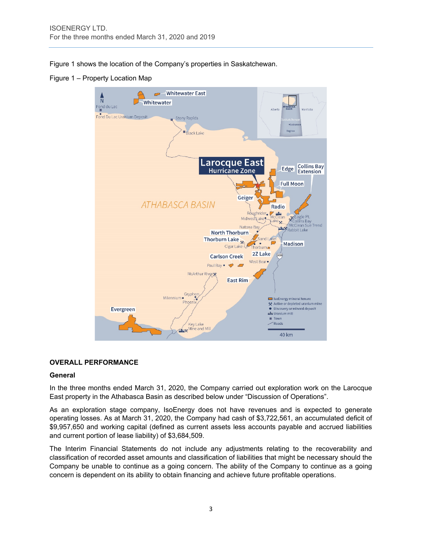Figure 1 shows the location of the Company's properties in Saskatchewan.

Figure 1 – Property Location Map



# **OVERALL PERFORMANCE**

#### **General**

In the three months ended March 31, 2020, the Company carried out exploration work on the Larocque East property in the Athabasca Basin as described below under "Discussion of Operations".

As an exploration stage company, IsoEnergy does not have revenues and is expected to generate operating losses. As at March 31, 2020, the Company had cash of \$3,722,561, an accumulated deficit of \$9,957,650 and working capital (defined as current assets less accounts payable and accrued liabilities and current portion of lease liability) of \$3,684,509.

The Interim Financial Statements do not include any adjustments relating to the recoverability and classification of recorded asset amounts and classification of liabilities that might be necessary should the Company be unable to continue as a going concern. The ability of the Company to continue as a going concern is dependent on its ability to obtain financing and achieve future profitable operations.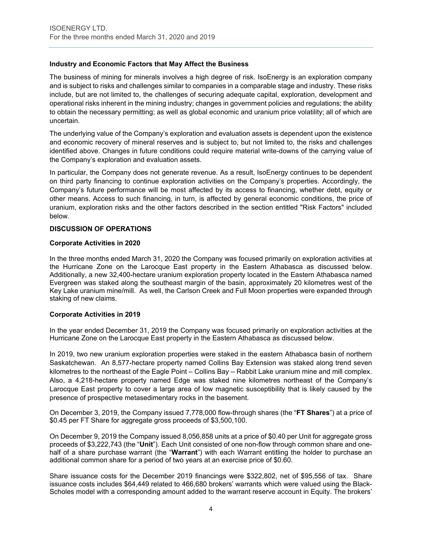# **Industry and Economic Factors that May Affect the Business**

The business of mining for minerals involves a high degree of risk. IsoEnergy is an exploration company and is subject to risks and challenges similar to companies in a comparable stage and industry. These risks include, but are not limited to, the challenges of securing adequate capital, exploration, development and operational risks inherent in the mining industry; changes in government policies and regulations; the ability to obtain the necessary permitting; as well as global economic and uranium price volatility; all of which are uncertain.

The underlying value of the Company's exploration and evaluation assets is dependent upon the existence and economic recovery of mineral reserves and is subject to, but not limited to, the risks and challenges identified above. Changes in future conditions could require material write-downs of the carrying value of the Company's exploration and evaluation assets.

In particular, the Company does not generate revenue. As a result, IsoEnergy continues to be dependent on third party financing to continue exploration activities on the Company's properties. Accordingly, the Company's future performance will be most affected by its access to financing, whether debt, equity or other means. Access to such financing, in turn, is affected by general economic conditions, the price of uranium, exploration risks and the other factors described in the section entitled "Risk Factors" included below.

#### **DISCUSSION OF OPERATIONS**

#### **Corporate Activities in 2020**

In the three months ended March 31, 2020 the Company was focused primarily on exploration activities at the Hurricane Zone on the Larocque East property in the Eastern Athabasca as discussed below. Additionally, a new 32,400-hectare uranium exploration property located in the Eastern Athabasca named Evergreen was staked along the southeast margin of the basin, approximately 20 kilometres west of the Key Lake uranium mine/mill. As well, the Carlson Creek and Full Moon properties were expanded through staking of new claims.

#### **Corporate Activities in 2019**

In the year ended December 31, 2019 the Company was focused primarily on exploration activities at the Hurricane Zone on the Larocque East property in the Eastern Athabasca as discussed below.

In 2019, two new uranium exploration properties were staked in the eastern Athabasca basin of northern Saskatchewan. An 8,577-hectare property named Collins Bay Extension was staked along trend seven kilometres to the northeast of the Eagle Point – Collins Bay – Rabbit Lake uranium mine and mill complex. Also, a 4,218-hectare property named Edge was staked nine kilometres northeast of the Company's Larocque East property to cover a large area of low magnetic susceptibility that is likely caused by the presence of prospective metasedimentary rocks in the basement.

On December 3, 2019, the Company issued 7,778,000 flow-through shares (the "**FT Shares**") at a price of \$0.45 per FT Share for aggregate gross proceeds of \$3,500,100.

On December 9, 2019 the Company issued 8,056,858 units at a price of \$0.40 per Unit for aggregate gross proceeds of \$3,222,743 (the "**Unit**"). Each Unit consisted of one non-flow through common share and onehalf of a share purchase warrant (the "**Warrant**") with each Warrant entitling the holder to purchase an additional common share for a period of two years at an exercise price of \$0.60.

Share issuance costs for the December 2019 financings were \$322,802, net of \$95,556 of tax. Share issuance costs includes \$64,449 related to 466,680 brokers' warrants which were valued using the Black-Scholes model with a corresponding amount added to the warrant reserve account in Equity. The brokers'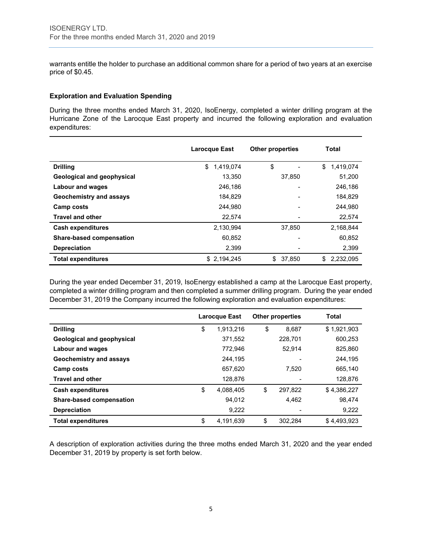warrants entitle the holder to purchase an additional common share for a period of two years at an exercise price of \$0.45.

#### **Exploration and Evaluation Spending**

During the three months ended March 31, 2020, IsoEnergy, completed a winter drilling program at the Hurricane Zone of the Larocque East property and incurred the following exploration and evaluation expenditures:

|                                   | <b>Larocque East</b> | <b>Other properties</b> | Total           |
|-----------------------------------|----------------------|-------------------------|-----------------|
| <b>Drilling</b>                   | \$<br>1,419,074      | \$                      | \$<br>1,419,074 |
| <b>Geological and geophysical</b> | 13,350               | 37,850                  | 51,200          |
| <b>Labour and wages</b>           | 246,186              |                         | 246,186         |
| Geochemistry and assays           | 184,829              |                         | 184,829         |
| Camp costs                        | 244.980              |                         | 244.980         |
| <b>Travel and other</b>           | 22,574               |                         | 22,574          |
| <b>Cash expenditures</b>          | 2,130,994            | 37.850                  | 2.168.844       |
| <b>Share-based compensation</b>   | 60,852               |                         | 60,852          |
| <b>Depreciation</b>               | 2,399                |                         | 2,399           |
| <b>Total expenditures</b>         | \$2,194,245          | \$<br>37,850            | 2,232,095<br>\$ |

During the year ended December 31, 2019, IsoEnergy established a camp at the Larocque East property, completed a winter drilling program and then completed a summer drilling program. During the year ended December 31, 2019 the Company incurred the following exploration and evaluation expenditures:

|                            | Larocque East |           | <b>Other properties</b> |         | Total       |
|----------------------------|---------------|-----------|-------------------------|---------|-------------|
| <b>Drilling</b>            | \$            | 1,913,216 | \$                      | 8.687   | \$1,921,903 |
| Geological and geophysical |               | 371,552   |                         | 228.701 | 600.253     |
| Labour and wages           |               | 772.946   |                         | 52.914  | 825,860     |
| Geochemistry and assays    |               | 244,195   |                         |         | 244,195     |
| Camp costs                 |               | 657.620   |                         | 7.520   | 665.140     |
| <b>Travel and other</b>    |               | 128,876   |                         |         | 128,876     |
| <b>Cash expenditures</b>   | \$            | 4.088.405 | \$                      | 297.822 | \$4,386,227 |
| Share-based compensation   |               | 94.012    |                         | 4,462   | 98.474      |
| <b>Depreciation</b>        |               | 9,222     |                         |         | 9,222       |
| <b>Total expenditures</b>  | \$            | 4,191,639 | \$                      | 302,284 | \$4.493.923 |

A description of exploration activities during the three moths ended March 31, 2020 and the year ended December 31, 2019 by property is set forth below.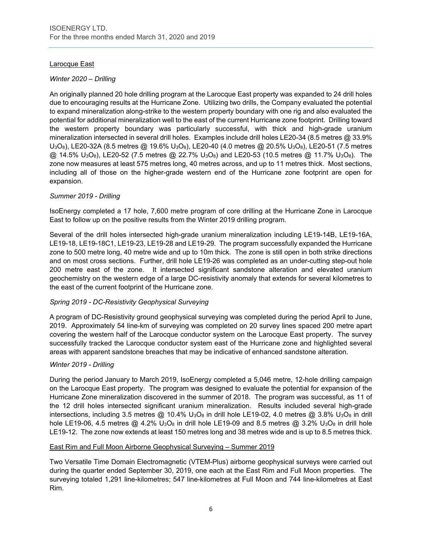# Larocque East

# *Winter 2020 – Drilling*

An originally planned 20 hole drilling program at the Larocque East property was expanded to 24 drill holes due to encouraging results at the Hurricane Zone. Utilizing two drills, the Company evaluated the potential to expand mineralization along-strike to the western property boundary with one rig and also evaluated the potential for additional mineralization well to the east of the current Hurricane zone footprint. Drilling toward the western property boundary was particularly successful, with thick and high-grade uranium mineralization intersected in several drill holes. Examples include drill holes LE20-34 (8.5 metres @ 33.9% U3O8), LE20-32A (8.5 metres @ 19.6% U3O8), LE20-40 (4.0 metres @ 20.5% U3O8), LE20-51 (7.5 metres  $@. 14.5\%$  U<sub>3</sub>O<sub>8</sub>), LE20-52 (7.5 metres  $@. 22.7\%$  U<sub>3</sub>O<sub>8</sub>) and LE20-53 (10.5 metres  $@. 11.7\%$  U<sub>3</sub>O<sub>8</sub>). The zone now measures at least 575 metres long, 40 metres across, and up to 11 metres thick. Most sections, including all of those on the higher-grade western end of the Hurricane zone footprint are open for expansion.

# *Summer 2019 - Drilling*

IsoEnergy completed a 17 hole, 7,600 metre program of core drilling at the Hurricane Zone in Larocque East to follow up on the positive results from the Winter 2019 drilling program.

Several of the drill holes intersected high-grade uranium mineralization including LE19-14B, LE19-16A, LE19-18, LE19-18C1, LE19-23, LE19-28 and LE19-29. The program successfully expanded the Hurricane zone to 500 metre long, 40 metre wide and up to 10m thick. The zone is still open in both strike directions and on most cross sections. Further, drill hole LE19-26 was completed as an under-cutting step-out hole 200 metre east of the zone. It intersected significant sandstone alteration and elevated uranium geochemistry on the western edge of a large DC-resistivity anomaly that extends for several kilometres to the east of the current footprint of the Hurricane zone.

# *Spring 2019 - DC-Resistivity Geophysical Surveying*

A program of DC-Resistivity ground geophysical surveying was completed during the period April to June, 2019. Approximately 54 line-km of surveying was completed on 20 survey lines spaced 200 metre apart covering the western half of the Larocque conductor system on the Larocque East property. The survey successfully tracked the Larocque conductor system east of the Hurricane zone and highlighted several areas with apparent sandstone breaches that may be indicative of enhanced sandstone alteration.

# *Winter 2019 - Drilling*

During the period January to March 2019, IsoEnergy completed a 5,046 metre, 12-hole drilling campaign on the Larocque East property. The program was designed to evaluate the potential for expansion of the Hurricane Zone mineralization discovered in the summer of 2018. The program was successful, as 11 of the 12 drill holes intersected significant uranium mineralization. Results included several high-grade intersections, including 3.5 metres  $@$  10.4%  $U_3O_8$  in drill hole LE19-02, 4.0 metres  $@$  3.8%  $U_3O_8$  in drill hole LE19-06, 4.5 metres  $@$  4.2% U<sub>3</sub>O<sub>8</sub> in drill hole LE19-09 and 8.5 metres  $@$  3.2% U<sub>3</sub>O<sub>8</sub> in drill hole LE19-12. The zone now extends at least 150 metres long and 38 metres wide and is up to 8.5 metres thick.

# East Rim and Full Moon Airborne Geophysical Surveying – Summer 2019

Two Versatile Time Domain Electromagnetic (VTEM-Plus) airborne geophysical surveys were carried out during the quarter ended September 30, 2019, one each at the East Rim and Full Moon properties. The surveying totaled 1,291 line-kilometres; 547 line-kilometres at Full Moon and 744 line-kilometres at East Rim.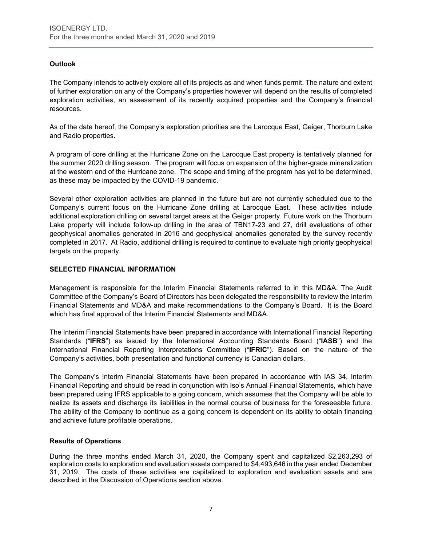# **Outlook**

The Company intends to actively explore all of its projects as and when funds permit. The nature and extent of further exploration on any of the Company's properties however will depend on the results of completed exploration activities, an assessment of its recently acquired properties and the Company's financial resources.

As of the date hereof, the Company's exploration priorities are the Larocque East, Geiger, Thorburn Lake and Radio properties.

A program of core drilling at the Hurricane Zone on the Larocque East property is tentatively planned for the summer 2020 drilling season. The program will focus on expansion of the higher-grade mineralization at the western end of the Hurricane zone. The scope and timing of the program has yet to be determined, as these may be impacted by the COVID-19 pandemic.

Several other exploration activities are planned in the future but are not currently scheduled due to the Company's current focus on the Hurricane Zone drilling at Larocque East. These activities include additional exploration drilling on several target areas at the Geiger property. Future work on the Thorburn Lake property will include follow-up drilling in the area of TBN17-23 and 27, drill evaluations of other geophysical anomalies generated in 2016 and geophysical anomalies generated by the survey recently completed in 2017. At Radio, additional drilling is required to continue to evaluate high priority geophysical targets on the property.

# **SELECTED FINANCIAL INFORMATION**

Management is responsible for the Interim Financial Statements referred to in this MD&A. The Audit Committee of the Company's Board of Directors has been delegated the responsibility to review the Interim Financial Statements and MD&A and make recommendations to the Company's Board. It is the Board which has final approval of the Interim Financial Statements and MD&A.

The Interim Financial Statements have been prepared in accordance with International Financial Reporting Standards ("**IFRS**") as issued by the International Accounting Standards Board ("**IASB**") and the International Financial Reporting Interpretations Committee ("**IFRIC**"). Based on the nature of the Company's activities, both presentation and functional currency is Canadian dollars.

The Company's Interim Financial Statements have been prepared in accordance with IAS 34, Interim Financial Reporting and should be read in conjunction with Iso's Annual Financial Statements, which have been prepared using IFRS applicable to a going concern, which assumes that the Company will be able to realize its assets and discharge its liabilities in the normal course of business for the foreseeable future. The ability of the Company to continue as a going concern is dependent on its ability to obtain financing and achieve future profitable operations.

# **Results of Operations**

During the three months ended March 31, 2020, the Company spent and capitalized \$2,263,293 of exploration costs to exploration and evaluation assets compared to \$4,493,646 in the year ended December 31, 2019. The costs of these activities are capitalized to exploration and evaluation assets and are described in the Discussion of Operations section above.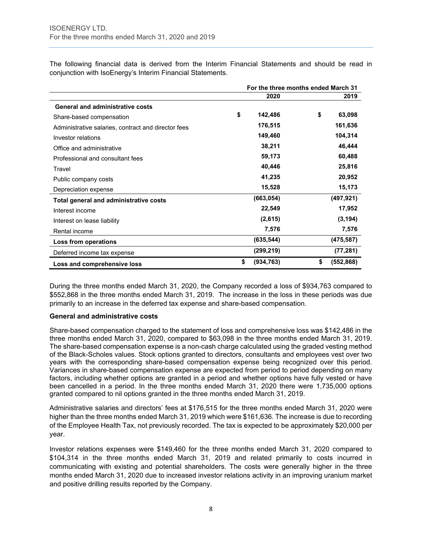The following financial data is derived from the Interim Financial Statements and should be read in conjunction with IsoEnergy's Interim Financial Statements.

|                                                     | For the three months ended March 31 |            |    |            |
|-----------------------------------------------------|-------------------------------------|------------|----|------------|
|                                                     |                                     | 2020       |    | 2019       |
| <b>General and administrative costs</b>             |                                     |            |    |            |
| Share-based compensation                            | \$                                  | 142,486    | \$ | 63,098     |
| Administrative salaries, contract and director fees |                                     | 176,515    |    | 161,636    |
| Investor relations                                  |                                     | 149,460    |    | 104,314    |
| Office and administrative                           |                                     | 38,211     |    | 46,444     |
| Professional and consultant fees                    |                                     | 59,173     |    | 60,488     |
| Travel                                              |                                     | 40,446     |    | 25,816     |
| Public company costs                                |                                     | 41,235     |    | 20,952     |
| Depreciation expense                                |                                     | 15,528     |    | 15,173     |
| Total general and administrative costs              |                                     | (663, 054) |    | (497, 921) |
| Interest income                                     |                                     | 22,549     |    | 17,952     |
| Interest on lease liability                         |                                     | (2,615)    |    | (3, 194)   |
| Rental income                                       |                                     | 7,576      |    | 7,576      |
| Loss from operations                                |                                     | (635, 544) |    | (475, 587) |
| Deferred income tax expense                         |                                     | (299, 219) |    | (77, 281)  |
| Loss and comprehensive loss                         | \$                                  | (934, 763) | \$ | (552, 868) |

During the three months ended March 31, 2020, the Company recorded a loss of \$934,763 compared to \$552,868 in the three months ended March 31, 2019. The increase in the loss in these periods was due primarily to an increase in the deferred tax expense and share-based compensation.

#### **General and administrative costs**

Share-based compensation charged to the statement of loss and comprehensive loss was \$142,486 in the three months ended March 31, 2020, compared to \$63,098 in the three months ended March 31, 2019. The share-based compensation expense is a non-cash charge calculated using the graded vesting method of the Black-Scholes values. Stock options granted to directors, consultants and employees vest over two years with the corresponding share-based compensation expense being recognized over this period. Variances in share-based compensation expense are expected from period to period depending on many factors, including whether options are granted in a period and whether options have fully vested or have been cancelled in a period. In the three months ended March 31, 2020 there were 1,735,000 options granted compared to nil options granted in the three months ended March 31, 2019.

Administrative salaries and directors' fees at \$176,515 for the three months ended March 31, 2020 were higher than the three months ended March 31, 2019 which were \$161,636. The increase is due to recording of the Employee Health Tax, not previously recorded. The tax is expected to be approximately \$20,000 per year.

Investor relations expenses were \$149,460 for the three months ended March 31, 2020 compared to \$104,314 in the three months ended March 31, 2019 and related primarily to costs incurred in communicating with existing and potential shareholders. The costs were generally higher in the three months ended March 31, 2020 due to increased investor relations activity in an improving uranium market and positive drilling results reported by the Company.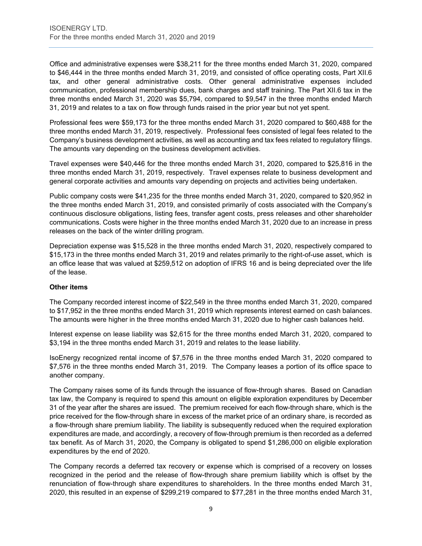Office and administrative expenses were \$38,211 for the three months ended March 31, 2020, compared to \$46,444 in the three months ended March 31, 2019, and consisted of office operating costs, Part XII.6 tax, and other general administrative costs. Other general administrative expenses included communication, professional membership dues, bank charges and staff training. The Part XII.6 tax in the three months ended March 31, 2020 was \$5,794, compared to \$9,547 in the three months ended March 31, 2019 and relates to a tax on flow through funds raised in the prior year but not yet spent.

Professional fees were \$59,173 for the three months ended March 31, 2020 compared to \$60,488 for the three months ended March 31, 2019, respectively. Professional fees consisted of legal fees related to the Company's business development activities, as well as accounting and tax fees related to regulatory filings. The amounts vary depending on the business development activities.

Travel expenses were \$40,446 for the three months ended March 31, 2020, compared to \$25,816 in the three months ended March 31, 2019, respectively. Travel expenses relate to business development and general corporate activities and amounts vary depending on projects and activities being undertaken.

Public company costs were \$41,235 for the three months ended March 31, 2020, compared to \$20,952 in the three months ended March 31, 2019, and consisted primarily of costs associated with the Company's continuous disclosure obligations, listing fees, transfer agent costs, press releases and other shareholder communications. Costs were higher in the three months ended March 31, 2020 due to an increase in press releases on the back of the winter drilling program.

Depreciation expense was \$15,528 in the three months ended March 31, 2020, respectively compared to \$15,173 in the three months ended March 31, 2019 and relates primarily to the right-of-use asset, which is an office lease that was valued at \$259,512 on adoption of IFRS 16 and is being depreciated over the life of the lease.

# **Other items**

The Company recorded interest income of \$22,549 in the three months ended March 31, 2020, compared to \$17,952 in the three months ended March 31, 2019 which represents interest earned on cash balances. The amounts were higher in the three months ended March 31, 2020 due to higher cash balances held.

Interest expense on lease liability was \$2,615 for the three months ended March 31, 2020, compared to \$3,194 in the three months ended March 31, 2019 and relates to the lease liability.

IsoEnergy recognized rental income of \$7,576 in the three months ended March 31, 2020 compared to \$7,576 in the three months ended March 31, 2019. The Company leases a portion of its office space to another company.

The Company raises some of its funds through the issuance of flow-through shares. Based on Canadian tax law, the Company is required to spend this amount on eligible exploration expenditures by December 31 of the year after the shares are issued. The premium received for each flow-through share, which is the price received for the flow-through share in excess of the market price of an ordinary share, is recorded as a flow-through share premium liability. The liability is subsequently reduced when the required exploration expenditures are made, and accordingly, a recovery of flow-through premium is then recorded as a deferred tax benefit. As of March 31, 2020, the Company is obligated to spend \$1,286,000 on eligible exploration expenditures by the end of 2020.

The Company records a deferred tax recovery or expense which is comprised of a recovery on losses recognized in the period and the release of flow-through share premium liability which is offset by the renunciation of flow-through share expenditures to shareholders. In the three months ended March 31, 2020, this resulted in an expense of \$299,219 compared to \$77,281 in the three months ended March 31,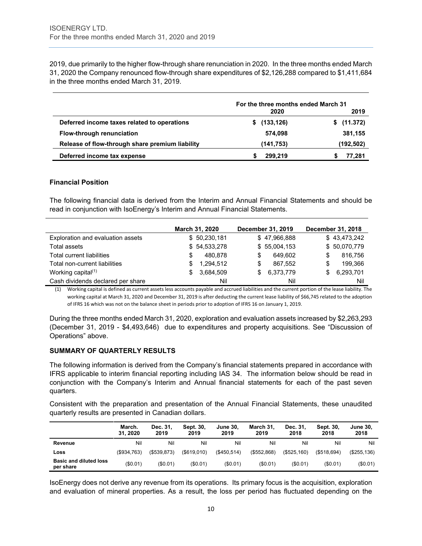2019, due primarily to the higher flow-through share renunciation in 2020. In the three months ended March 31, 2020 the Company renounced flow-through share expenditures of \$2,126,288 compared to \$1,411,684 in the three months ended March 31, 2019.

|                                                 | For the three months ended March 31 |                |  |
|-------------------------------------------------|-------------------------------------|----------------|--|
|                                                 | 2020                                | 2019           |  |
| Deferred income taxes related to operations     | (133, 126)                          | (11.372)<br>s. |  |
| Flow-through renunciation                       | 574.098                             | 381,155        |  |
| Release of flow-through share premium liability | (141,753)                           | (192, 502)     |  |
| Deferred income tax expense                     | 299.219                             | 77.281         |  |

#### **Financial Position**

The following financial data is derived from the Interim and Annual Financial Statements and should be read in conjunction with IsoEnergy's Interim and Annual Financial Statements.

|                                   |    | March 31, 2020 |     | December 31, 2019 |   | December 31, 2018 |
|-----------------------------------|----|----------------|-----|-------------------|---|-------------------|
| Exploration and evaluation assets |    | \$50,230,181   |     | \$47,966,888      |   | \$43,473,242      |
| <b>Total assets</b>               |    | \$54,533,278   |     | \$55,004,153      |   | \$50,070,779      |
| Total current liabilities         | S  | 480.878        | S   | 649.602           | S | 816,756           |
| Total non-current liabilities     | \$ | 1.294.512      | S   | 867.552           | S | 199.366           |
| Working capital <sup>(1)</sup>    | S. | 3.684.509      | \$. | 6,373,779         | S | 6,293,701         |
| Cash dividends declared per share |    | Nil            |     | Nil               |   | Nil               |

(1) Working capital is defined as current assets less accounts payable and accrued liabilities and the current portion of the lease liability. The working capital at March 31, 2020 and December 31, 2019 is after deducting the current lease liability of \$66,745 related to the adoption of IFRS 16 which was not on the balance sheet in periods prior to adoption of IFRS 16 on January 1, 2019.

During the three months ended March 31, 2020, exploration and evaluation assets increased by \$2,263,293 (December 31, 2019 - \$4,493,646) due to expenditures and property acquisitions. See "Discussion of Operations" above.

# **SUMMARY OF QUARTERLY RESULTS**

The following information is derived from the Company's financial statements prepared in accordance with IFRS applicable to interim financial reporting including IAS 34. The information below should be read in conjunction with the Company's Interim and Annual financial statements for each of the past seven quarters.

Consistent with the preparation and presentation of the Annual Financial Statements, these unaudited quarterly results are presented in Canadian dollars.

|                                            | March.<br>31.2020 | Dec. 31,<br>2019 | Sept. 30,<br>2019 | <b>June 30.</b><br>2019 | March 31,<br>2019 | Dec. 31,<br>2018 | Sept. 30,<br>2018 | <b>June 30.</b><br>2018 |
|--------------------------------------------|-------------------|------------------|-------------------|-------------------------|-------------------|------------------|-------------------|-------------------------|
| Revenue                                    | Nil               | Nil              | Nil               | Nil                     | Nil               | Nil              | Nil               | Nil                     |
| Loss                                       | $($ \$934.763)    | (S539.873)       | $($ \$619.010)    | (S450.514)              | $($ \$552.868)    | (\$525,160)      | (S518.694)        | $($ \$255.136)          |
| <b>Basic and diluted loss</b><br>per share | (\$0.01)          | (\$0.01)         | (\$0.01)          | (S0.01)                 | $(\$0.01)$        | (\$0.01)         | (\$0.01)          | (\$0.01)                |

IsoEnergy does not derive any revenue from its operations. Its primary focus is the acquisition, exploration and evaluation of mineral properties. As a result, the loss per period has fluctuated depending on the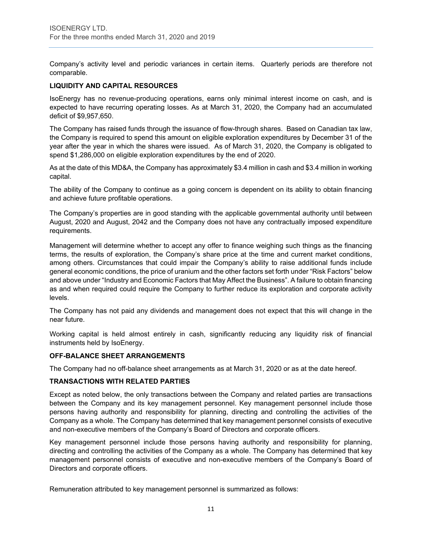Company's activity level and periodic variances in certain items. Quarterly periods are therefore not comparable.

# **LIQUIDITY AND CAPITAL RESOURCES**

IsoEnergy has no revenue-producing operations, earns only minimal interest income on cash, and is expected to have recurring operating losses. As at March 31, 2020, the Company had an accumulated deficit of \$9,957,650.

The Company has raised funds through the issuance of flow-through shares. Based on Canadian tax law, the Company is required to spend this amount on eligible exploration expenditures by December 31 of the year after the year in which the shares were issued. As of March 31, 2020, the Company is obligated to spend \$1,286,000 on eligible exploration expenditures by the end of 2020.

As at the date of this MD&A, the Company has approximately \$3.4 million in cash and \$3.4 million in working capital.

The ability of the Company to continue as a going concern is dependent on its ability to obtain financing and achieve future profitable operations.

The Company's properties are in good standing with the applicable governmental authority until between August, 2020 and August, 2042 and the Company does not have any contractually imposed expenditure requirements.

Management will determine whether to accept any offer to finance weighing such things as the financing terms, the results of exploration, the Company's share price at the time and current market conditions, among others. Circumstances that could impair the Company's ability to raise additional funds include general economic conditions, the price of uranium and the other factors set forth under "Risk Factors" below and above under "Industry and Economic Factors that May Affect the Business". A failure to obtain financing as and when required could require the Company to further reduce its exploration and corporate activity levels.

The Company has not paid any dividends and management does not expect that this will change in the near future.

Working capital is held almost entirely in cash, significantly reducing any liquidity risk of financial instruments held by IsoEnergy.

#### **OFF-BALANCE SHEET ARRANGEMENTS**

The Company had no off-balance sheet arrangements as at March 31, 2020 or as at the date hereof.

# **TRANSACTIONS WITH RELATED PARTIES**

Except as noted below, the only transactions between the Company and related parties are transactions between the Company and its key management personnel. Key management personnel include those persons having authority and responsibility for planning, directing and controlling the activities of the Company as a whole. The Company has determined that key management personnel consists of executive and non-executive members of the Company's Board of Directors and corporate officers.

Key management personnel include those persons having authority and responsibility for planning, directing and controlling the activities of the Company as a whole. The Company has determined that key management personnel consists of executive and non-executive members of the Company's Board of Directors and corporate officers.

Remuneration attributed to key management personnel is summarized as follows: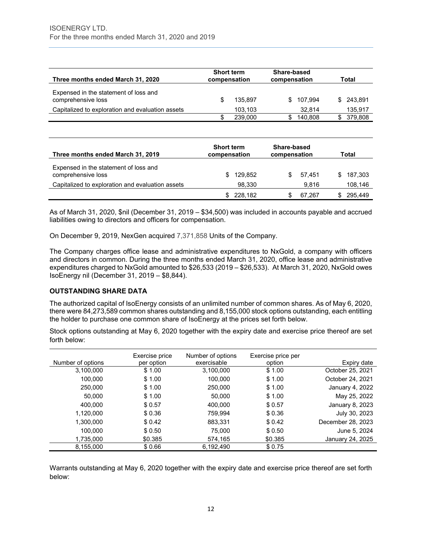| Three months ended March 31, 2020                           | <b>Short term</b><br>compensation | Share-based<br>compensation |         |     | Total   |
|-------------------------------------------------------------|-----------------------------------|-----------------------------|---------|-----|---------|
| Expensed in the statement of loss and<br>comprehensive loss | 135.897                           | S.                          | 107.994 | SS. | 243.891 |
| Capitalized to exploration and evaluation assets            | 103.103                           |                             | 32.814  |     | 135,917 |
|                                                             | 239,000                           |                             | 140.808 |     | 379.808 |

| Three months ended March 31, 2019                           | <b>Short term</b><br>compensation | Share-based<br>compensation | Total          |
|-------------------------------------------------------------|-----------------------------------|-----------------------------|----------------|
| Expensed in the statement of loss and<br>comprehensive loss | 129,852<br>\$.                    | 57.451                      | 187,303<br>\$. |
| Capitalized to exploration and evaluation assets            | 98,330                            | 9.816                       | 108,146        |
|                                                             | 228,182                           | 67.267                      | 295.449        |

As of March 31, 2020, \$nil (December 31, 2019 – \$34,500) was included in accounts payable and accrued liabilities owing to directors and officers for compensation.

On December 9, 2019, NexGen acquired 7,371,858 Units of the Company.

The Company charges office lease and administrative expenditures to NxGold, a company with officers and directors in common. During the three months ended March 31, 2020, office lease and administrative expenditures charged to NxGold amounted to \$26,533 (2019 – \$26,533). At March 31, 2020, NxGold owes IsoEnergy nil (December 31, 2019 – \$8,844).

# **OUTSTANDING SHARE DATA**

The authorized capital of IsoEnergy consists of an unlimited number of common shares. As of May 6, 2020, there were 84,273,589 common shares outstanding and 8,155,000 stock options outstanding, each entitling the holder to purchase one common share of IsoEnergy at the prices set forth below.

Stock options outstanding at May 6, 2020 together with the expiry date and exercise price thereof are set forth below:

|                   | Exercise price | Number of options | Exercise price per |                   |
|-------------------|----------------|-------------------|--------------------|-------------------|
| Number of options | per option     | exercisable       | option             | Expiry date       |
| 3,100,000         | \$1.00         | 3,100,000         | \$1.00             | October 25, 2021  |
| 100,000           | \$1.00         | 100,000           | \$1.00             | October 24, 2021  |
| 250,000           | \$1.00         | 250,000           | \$1.00             | January 4, 2022   |
| 50,000            | \$1.00         | 50,000            | \$1.00             | May 25, 2022      |
| 400.000           | \$0.57         | 400,000           | \$ 0.57            | January 8, 2023   |
| 1,120,000         | \$0.36         | 759,994           | \$0.36             | July 30, 2023     |
| 1,300,000         | \$0.42         | 883,331           | \$0.42             | December 28, 2023 |
| 100,000           | \$0.50         | 75,000            | \$0.50             | June 5, 2024      |
| 1,735,000         | \$0.385        | 574.165           | \$0.385            | January 24, 2025  |
| 8,155,000         | \$0.66         | 6,192,490         | \$0.75             |                   |

Warrants outstanding at May 6, 2020 together with the expiry date and exercise price thereof are set forth below: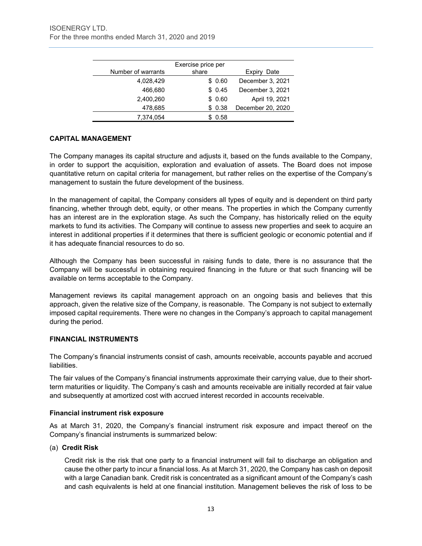|                    | Exercise price per |                   |
|--------------------|--------------------|-------------------|
| Number of warrants | share              | Date<br>Expiry    |
| 4,028,429          | \$0.60             | December 3, 2021  |
| 466.680            | \$0.45             | December 3, 2021  |
| 2,400,260          | \$0.60             | April 19, 2021    |
| 478,685            | \$0.38             | December 20, 2020 |
| 7.374.054          | 0.58               |                   |

# **CAPITAL MANAGEMENT**

The Company manages its capital structure and adjusts it, based on the funds available to the Company, in order to support the acquisition, exploration and evaluation of assets. The Board does not impose quantitative return on capital criteria for management, but rather relies on the expertise of the Company's management to sustain the future development of the business.

In the management of capital, the Company considers all types of equity and is dependent on third party financing, whether through debt, equity, or other means. The properties in which the Company currently has an interest are in the exploration stage. As such the Company, has historically relied on the equity markets to fund its activities. The Company will continue to assess new properties and seek to acquire an interest in additional properties if it determines that there is sufficient geologic or economic potential and if it has adequate financial resources to do so.

Although the Company has been successful in raising funds to date, there is no assurance that the Company will be successful in obtaining required financing in the future or that such financing will be available on terms acceptable to the Company.

Management reviews its capital management approach on an ongoing basis and believes that this approach, given the relative size of the Company, is reasonable. The Company is not subject to externally imposed capital requirements. There were no changes in the Company's approach to capital management during the period.

# **FINANCIAL INSTRUMENTS**

The Company's financial instruments consist of cash, amounts receivable, accounts payable and accrued liabilities.

The fair values of the Company's financial instruments approximate their carrying value, due to their shortterm maturities or liquidity. The Company's cash and amounts receivable are initially recorded at fair value and subsequently at amortized cost with accrued interest recorded in accounts receivable.

# **Financial instrument risk exposure**

As at March 31, 2020, the Company's financial instrument risk exposure and impact thereof on the Company's financial instruments is summarized below:

# (a) **Credit Risk**

Credit risk is the risk that one party to a financial instrument will fail to discharge an obligation and cause the other party to incur a financial loss. As at March 31, 2020, the Company has cash on deposit with a large Canadian bank. Credit risk is concentrated as a significant amount of the Company's cash and cash equivalents is held at one financial institution. Management believes the risk of loss to be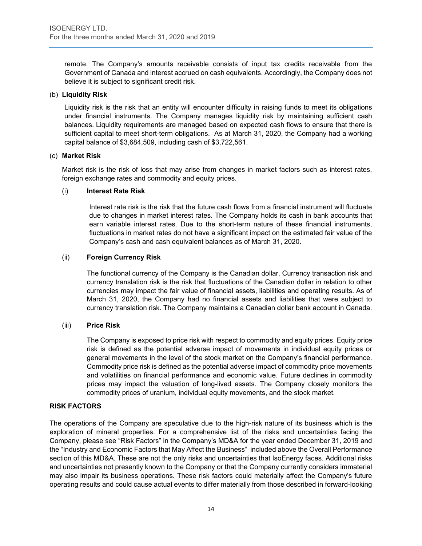remote. The Company's amounts receivable consists of input tax credits receivable from the Government of Canada and interest accrued on cash equivalents. Accordingly, the Company does not believe it is subject to significant credit risk.

#### (b) **Liquidity Risk**

Liquidity risk is the risk that an entity will encounter difficulty in raising funds to meet its obligations under financial instruments. The Company manages liquidity risk by maintaining sufficient cash balances. Liquidity requirements are managed based on expected cash flows to ensure that there is sufficient capital to meet short-term obligations. As at March 31, 2020, the Company had a working capital balance of \$3,684,509, including cash of \$3,722,561.

#### (c) **Market Risk**

Market risk is the risk of loss that may arise from changes in market factors such as interest rates, foreign exchange rates and commodity and equity prices.

#### (i) **Interest Rate Risk**

Interest rate risk is the risk that the future cash flows from a financial instrument will fluctuate due to changes in market interest rates. The Company holds its cash in bank accounts that earn variable interest rates. Due to the short-term nature of these financial instruments, fluctuations in market rates do not have a significant impact on the estimated fair value of the Company's cash and cash equivalent balances as of March 31, 2020.

# (ii) **Foreign Currency Risk**

The functional currency of the Company is the Canadian dollar. Currency transaction risk and currency translation risk is the risk that fluctuations of the Canadian dollar in relation to other currencies may impact the fair value of financial assets, liabilities and operating results. As of March 31, 2020, the Company had no financial assets and liabilities that were subject to currency translation risk. The Company maintains a Canadian dollar bank account in Canada.

# (iii) **Price Risk**

The Company is exposed to price risk with respect to commodity and equity prices. Equity price risk is defined as the potential adverse impact of movements in individual equity prices or general movements in the level of the stock market on the Company's financial performance. Commodity price risk is defined as the potential adverse impact of commodity price movements and volatilities on financial performance and economic value. Future declines in commodity prices may impact the valuation of long-lived assets. The Company closely monitors the commodity prices of uranium, individual equity movements, and the stock market.

# **RISK FACTORS**

The operations of the Company are speculative due to the high-risk nature of its business which is the exploration of mineral properties. For a comprehensive list of the risks and uncertainties facing the Company, please see "Risk Factors" in the Company's MD&A for the year ended December 31, 2019 and the "Industry and Economic Factors that May Affect the Business" included above the Overall Performance section of this MD&A. These are not the only risks and uncertainties that IsoEnergy faces. Additional risks and uncertainties not presently known to the Company or that the Company currently considers immaterial may also impair its business operations. These risk factors could materially affect the Company's future operating results and could cause actual events to differ materially from those described in forward-looking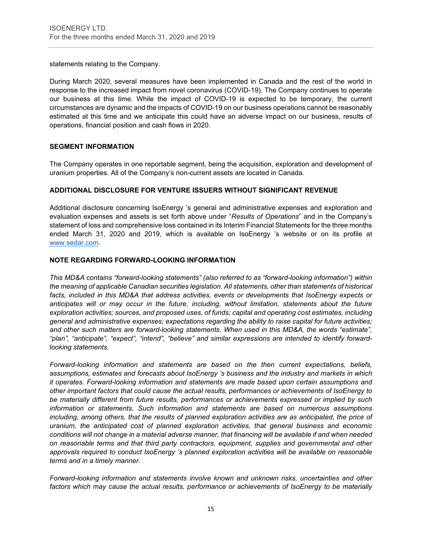statements relating to the Company.

During March 2020, several measures have been implemented in Canada and the rest of the world in response to the increased impact from novel coronavirus (COVID-19). The Company continues to operate our business at this time. While the impact of COVID-19 is expected to be temporary, the current circumstances are dynamic and the impacts of COVID-19 on our business operations cannot be reasonably estimated at this time and we anticipate this could have an adverse impact on our business, results of operations, financial position and cash flows in 2020.

# **SEGMENT INFORMATION**

The Company operates in one reportable segment, being the acquisition, exploration and development of uranium properties. All of the Company's non-current assets are located in Canada.

# **ADDITIONAL DISCLOSURE FOR VENTURE ISSUERS WITHOUT SIGNIFICANT REVENUE**

Additional disclosure concerning IsoEnergy 's general and administrative expenses and exploration and evaluation expenses and assets is set forth above under "*Results of Operations*" and in the Company's statement of loss and comprehensive loss contained in its Interim Financial Statements for the three months ended March 31, 2020 and 2019, which is available on IsoEnergy 's website or on its profile at [www.sedar.com.](http://www.sedar.com/)

# **NOTE REGARDING FORWARD-LOOKING INFORMATION**

*This MD&A contains "forward-looking statements" (also referred to as "forward-looking information") within the meaning of applicable Canadian securities legislation. All statements, other than statements of historical*  facts, included in this MD&A that address activities, events or developments that IsoEnergy expects or *anticipates will or may occur in the future, including, without limitation, statements about the future exploration activities; sources, and proposed uses, of funds; capital and operating cost estimates, including general and administrative expenses; expectations regarding the ability to raise capital for future activities; and other such matters are forward-looking statements. When used in this MD&A, the words "estimate", "plan", "anticipate", "expect", "intend", "believe" and similar expressions are intended to identify forwardlooking statements.* 

*Forward-looking information and statements are based on the then current expectations, beliefs, assumptions, estimates and forecasts about IsoEnergy 's business and the industry and markets in which it operates. Forward-looking information and statements are made based upon certain assumptions and other important factors that could cause the actual results, performances or achievements of IsoEnergy to be materially different from future results, performances or achievements expressed or implied by such information or statements. Such information and statements are based on numerous assumptions*  including, among others, that the results of planned exploration activities are as anticipated, the price of *uranium, the anticipated cost of planned exploration activities, that general business and economic conditions will not change in a material adverse manner, that financing will be available if and when needed on reasonable terms and that third party contractors, equipment, supplies and governmental and other approvals required to conduct IsoEnergy 's planned exploration activities will be available on reasonable terms and in a timely manner.* 

*Forward-looking information and statements involve known and unknown risks, uncertainties and other factors which may cause the actual results, performance or achievements of IsoEnergy to be materially*